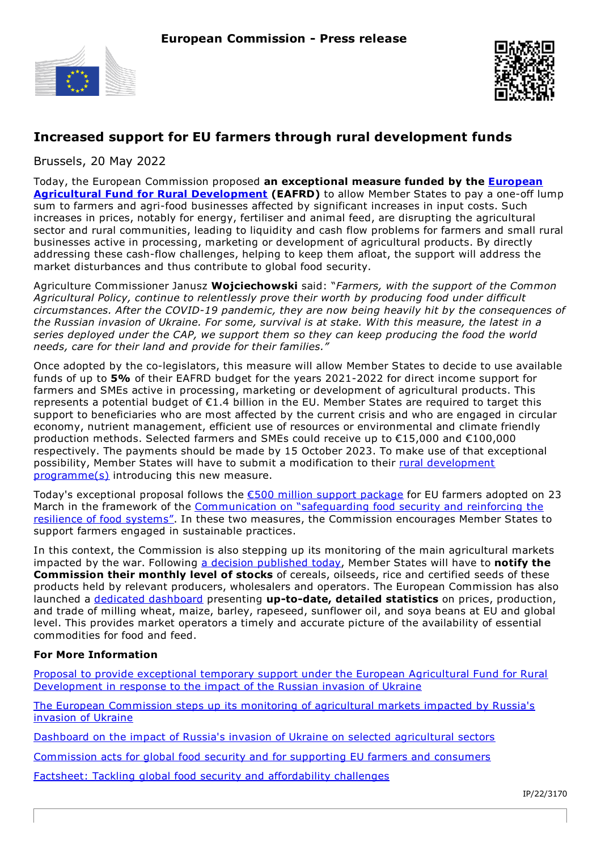



## **Increased support for EU farmers through rural development funds**

Brussels, 20 May 2022

Today, the European Commission proposed **an [exceptional](https://ec.europa.eu/info/funding-tenders/find-funding/eu-funding-programmes/european-agricultural-fund-rural-development-eafrd_en) measure funded by the European Agricultural Fund for Rural Development (EAFRD)** to allow Member States to pay a one-off lump sum to farmers and agri-food businesses affected by significant increases in input costs. Such increases in prices, notably for energy, fertiliser and animal feed, are disrupting the agricultural sector and rural communities, leading to liquidity and cash flow problems for farmers and small rural businesses active in processing, marketing or development of agricultural products. By directly addressing these cash-flow challenges, helping to keep them afloat, the support will address the market disturbances and thus contribute to global food security.

Agriculture Commissioner Janusz **Wojciechowski** said: "*Farmers, with the support of the Common Agricultural Policy, continue to relentlessly prove their worth by producing food under difficult circumstances. After the COVID-19 pandemic, they are now being heavily hit by the consequences of* the Russian invasion of Ukraine. For some, survival is at stake. With this measure, the latest in a *series deployed under the CAP, we support them so they can keep producing the food the world needs, care for their land and provide for their families."*

Once adopted by the co-legislators, this measure will allow Member States to decide to use available funds of up to **5%** of their EAFRD budget for the years 2021-2022 for direct income support for farmers and SMEs active in processing, marketing or development of agricultural products. This represents a potential budget of €1.4 billion in the EU. Member States are required to target this support to beneficiaries who are most affected by the current crisis and who are engaged in circular economy, nutrient management, efficient use of resources or environmental and climate friendly production methods. Selected farmers and SMEs could receive up to €15,000 and €100,000 respectively. The payments should be made by 15 October 2023. To make use of that exceptional possibility, Member States will have to submit a modification to their rural development [programme\(s\)](https://ec.europa.eu/info/food-farming-fisheries/key-policies/common-agricultural-policy/rural-development/country_en) introducing this new measure.

Today's exceptional proposal follows the €500 million support [package](https://ec.europa.eu/commission/presscorner/detail/en/ip_22_1963) for EU farmers adopted on 23 March in the framework of the [Communication](https://ec.europa.eu/commission/presscorner/detail/en/ip_22_1963) on "safeguarding food security and reinforcing the resilience of food systems". In these two measures, the Commission encourages Member States to support farmers engaged in sustainable practices.

In this context, the Commission is also stepping up its monitoring of the main agricultural markets impacted by the war. Following a decision [published](https://ec.europa.eu/info/news/european-commission-steps-its-monitoring-agricultural-markets-impacted-russias-invasion-ukraine-2022-may-20_en) today, Member States will have to **notify the Commission their monthly level of stocks** of cereals, oilseeds, rice and certified seeds of these products held by relevant producers, wholesalers and operators. The European Commission has also launched a dedicated [dashboard](https://agridata.ec.europa.eu/extensions/Ukraine/Ukraine.html) presenting **up-to-date, detailed statistics** on prices, production, and trade of milling wheat, maize, barley, rapeseed, sunflower oil, and soya beans at EU and global level. This provides market operators a timely and accurate picture of the availability of essential commodities for food and feed.

## **For More Information**

Proposal to provide exceptional temporary support under the European Agricultural Fund for Rural [Development](https://ec.europa.eu/info/sites/default/files/food-farming-fisheries/key_policies/documents/support-eafrd-in-response-to-russian-invasion-ukraine_en.pdf) in response to the impact of the Russian invasion of Ukraine

The European [Commission](https://ec.europa.eu/info/news/european-commission-steps-its-monitoring-agricultural-markets-impacted-russias-invasion-ukraine-2022-may-20_en) steps up its monitoring of agricultural markets impacted by Russia's invasion of Ukraine

Dashboard on the impact of Russia's invasion of Ukraine on selected [agricultural](https://agridata.ec.europa.eu/extensions/Ukraine/Ukraine.html) sectors

[Commission](https://ec.europa.eu/commission/presscorner/detail/en/ip_22_1963) acts for global food security and for supporting EU farmers and consumers

Factsheet: Tackling global food security and [affordability](https://ec.europa.eu/info/sites/default/files/food-farming-fisheries/key_policies/documents/factsheet-tackling-food-security-affordability-challenges_en.pdf) challenges